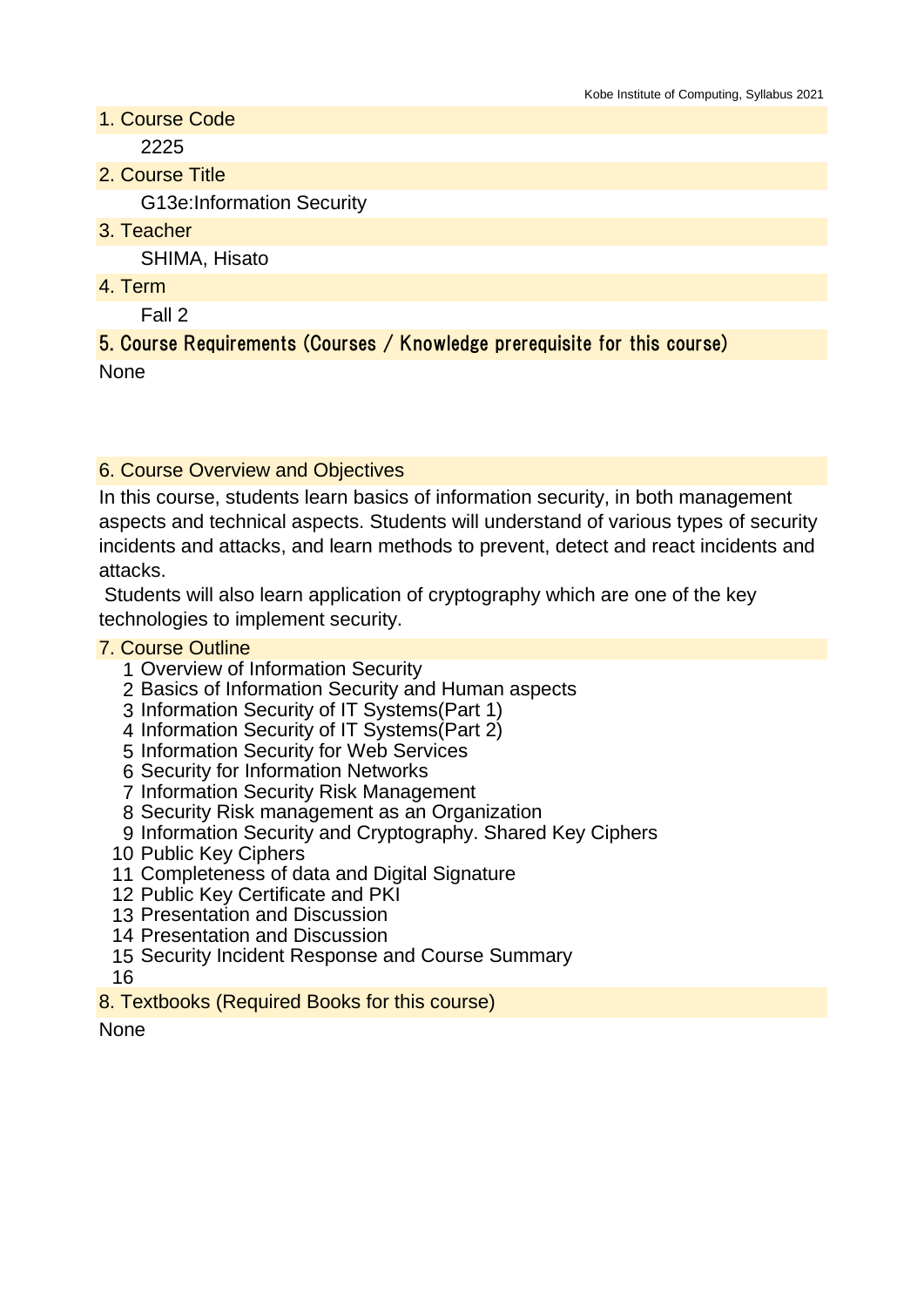- 1. Course Code 2225
- 2. Course Title

G13e:Information Security

3. Teacher

SHIMA, Hisato

4. Term

Fall 2

5. Course Requirements (Courses / Knowledge prerequisite for this course) **None** 

## 6. Course Overview and Objectives

In this course, students learn basics of information security, in both management aspects and technical aspects. Students will understand of various types of security incidents and attacks, and learn methods to prevent, detect and react incidents and attacks.

 Students will also learn application of cryptography which are one of the key technologies to implement security.

## 7. Course Outline

- 1 Overview of Information Security
- 2 Basics of Information Security and Human aspects
- 3 Information Security of IT Systems(Part 1)
- 4 Information Security of IT Systems(Part 2)
- 5 Information Security for Web Services
- 6 Security for Information Networks
- 7 Information Security Risk Management
- 8 Security Risk management as an Organization
- 9 Information Security and Cryptography. Shared Key Ciphers
- 10 Public Key Ciphers
- 11 Completeness of data and Digital Signature
- 12 Public Key Certificate and PKI
- 13 Presentation and Discussion
- 14 Presentation and Discussion
- 15 Security Incident Response and Course Summary
- 16
- 8. Textbooks (Required Books for this course)

**None**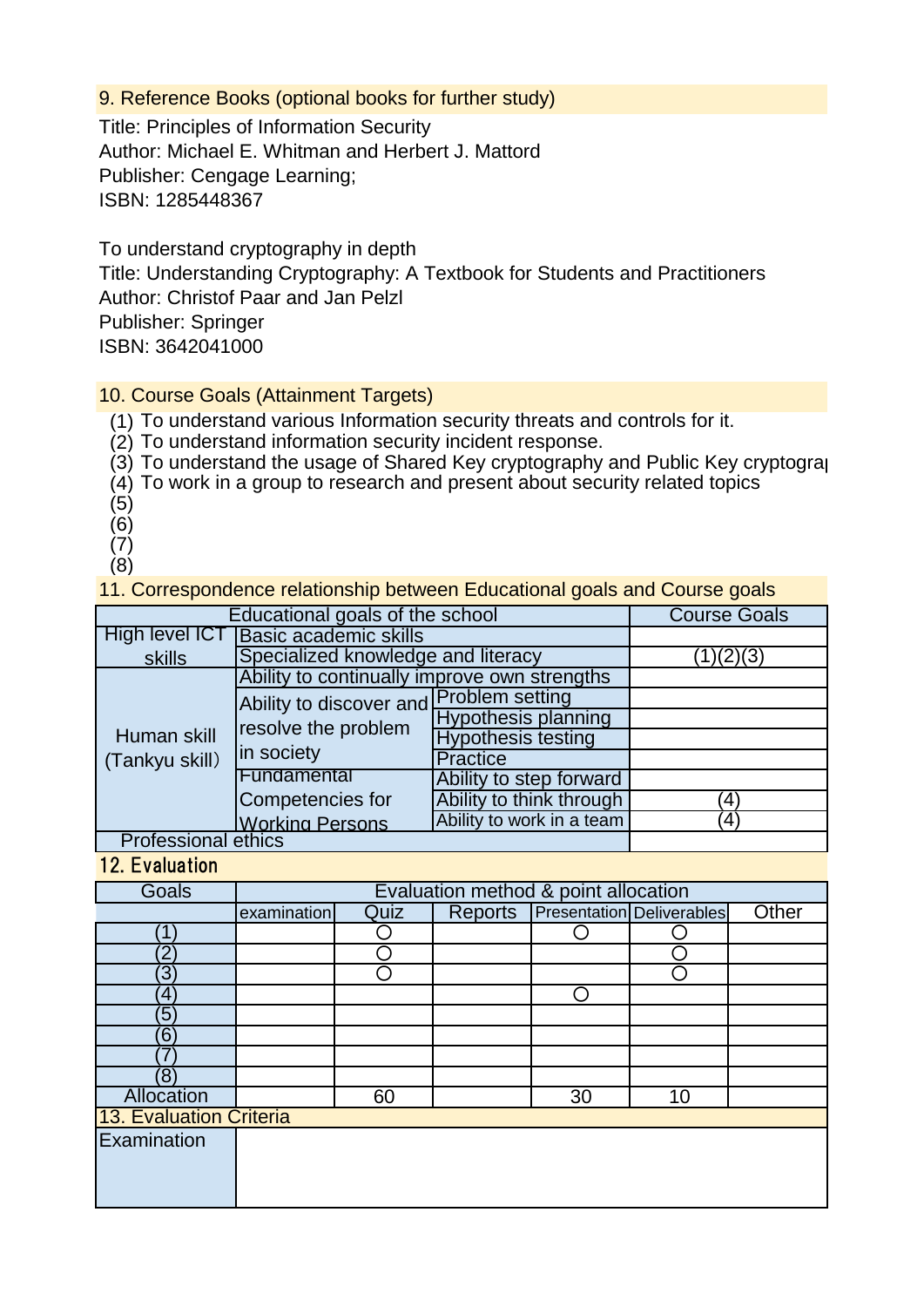9. Reference Books (optional books for further study)

Title: Principles of Information Security Author: Michael E. Whitman and Herbert J. Mattord Publisher: Cengage Learning; ISBN: 1285448367

To understand cryptography in depth Title: Understanding Cryptography: A Textbook for Students and Practitioners Author: Christof Paar and Jan Pelzl Publisher: Springer ISBN: 3642041000

10. Course Goals (Attainment Targets)

(1) To understand various Information security threats and controls for it.

(2) To understand information security incident response.

(3) To understand the usage of Shared Key cryptography and Public Key cryptograp

(4) To work in a group to research and present about security related topics

- (5)
- (6)
- (7)
- (8)

11. Correspondence relationship between Educational goals and Course goals

| Educational goals of the school | <b>Course Goals</b>                                                          |                            |              |
|---------------------------------|------------------------------------------------------------------------------|----------------------------|--------------|
| High level ICT                  |                                                                              |                            |              |
| skills                          | Specialized knowledge and literacy                                           | 1)(2)(3)                   |              |
| Human skill<br>(Tankyu skill)   | Ability to continually improve own strengths                                 |                            |              |
|                                 | Ability to discover and Problem setting<br>resolve the problem<br>in society |                            |              |
|                                 |                                                                              | <b>Hypothesis planning</b> |              |
|                                 |                                                                              | <b>Hypothesis testing</b>  |              |
|                                 |                                                                              | <b>Practice</b>            |              |
|                                 | Fundamental                                                                  | Ability to step forward    |              |
|                                 | Competencies for                                                             | Ability to think through   | $\mathbf{4}$ |
|                                 | <b>Working Persons</b>                                                       | Ability to work in a team  | $\mathbf{A}$ |
| <b>Professional ethics</b>      |                                                                              |                            |              |

12. Evaluation

| Goals                   | Evaluation method & point allocation |      |         |    |                                  |       |
|-------------------------|--------------------------------------|------|---------|----|----------------------------------|-------|
|                         | examination                          | Quiz | Reports |    | <b>Presentation Deliverables</b> | Other |
|                         |                                      |      |         |    |                                  |       |
| 2                       |                                      |      |         |    |                                  |       |
| ΄3                      |                                      |      |         |    |                                  |       |
| 4                       |                                      |      |         |    |                                  |       |
| $\sqrt{5}$              |                                      |      |         |    |                                  |       |
| 6                       |                                      |      |         |    |                                  |       |
|                         |                                      |      |         |    |                                  |       |
| $\left(8\right)$        |                                      |      |         |    |                                  |       |
| <b>Allocation</b>       |                                      | 60   |         | 30 | 10                               |       |
| 13. Evaluation Criteria |                                      |      |         |    |                                  |       |
| Examination             |                                      |      |         |    |                                  |       |
|                         |                                      |      |         |    |                                  |       |
|                         |                                      |      |         |    |                                  |       |
|                         |                                      |      |         |    |                                  |       |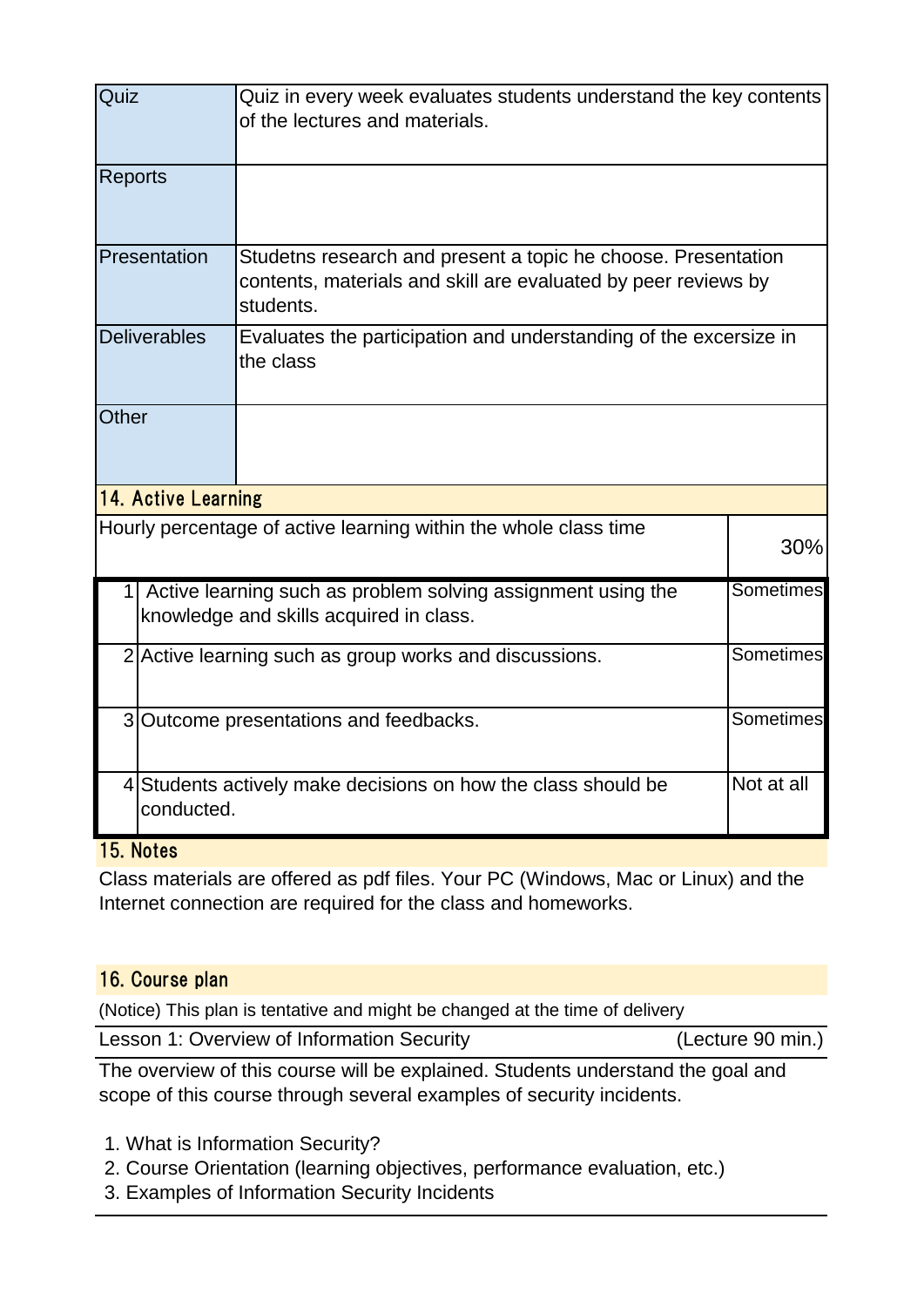| Quiz           |                                                                                                                               | Quiz in every week evaluates students understand the key contents<br>of the lectures and materials.                                          |     |  |  |  |
|----------------|-------------------------------------------------------------------------------------------------------------------------------|----------------------------------------------------------------------------------------------------------------------------------------------|-----|--|--|--|
| <b>Reports</b> |                                                                                                                               |                                                                                                                                              |     |  |  |  |
|                | Presentation                                                                                                                  | Studetns research and present a topic he choose. Presentation<br>contents, materials and skill are evaluated by peer reviews by<br>students. |     |  |  |  |
|                | <b>Deliverables</b>                                                                                                           | Evaluates the participation and understanding of the excersize in<br>the class                                                               |     |  |  |  |
| <b>Other</b>   |                                                                                                                               |                                                                                                                                              |     |  |  |  |
|                | 14. Active Learning                                                                                                           |                                                                                                                                              |     |  |  |  |
|                |                                                                                                                               | Hourly percentage of active learning within the whole class time                                                                             | 30% |  |  |  |
|                | <b>Sometimes</b><br>1 Active learning such as problem solving assignment using the<br>knowledge and skills acquired in class. |                                                                                                                                              |     |  |  |  |
|                | Sometimes<br>2 Active learning such as group works and discussions.                                                           |                                                                                                                                              |     |  |  |  |
|                | Sometimes<br>3 Outcome presentations and feedbacks.                                                                           |                                                                                                                                              |     |  |  |  |
|                | Not at all<br>4 Students actively make decisions on how the class should be<br>conducted.                                     |                                                                                                                                              |     |  |  |  |

## 15. Notes

Class materials are offered as pdf files. Your PC (Windows, Mac or Linux) and the Internet connection are required for the class and homeworks.

## 16. Course plan

(Notice) This plan is tentative and might be changed at the time of delivery

Lesson 1: Overview of Information Security **Example 20 min.**)

The overview of this course will be explained. Students understand the goal and scope of this course through several examples of security incidents.

1. What is Information Security?

- 2. Course Orientation (learning objectives, performance evaluation, etc.)
- 3. Examples of Information Security Incidents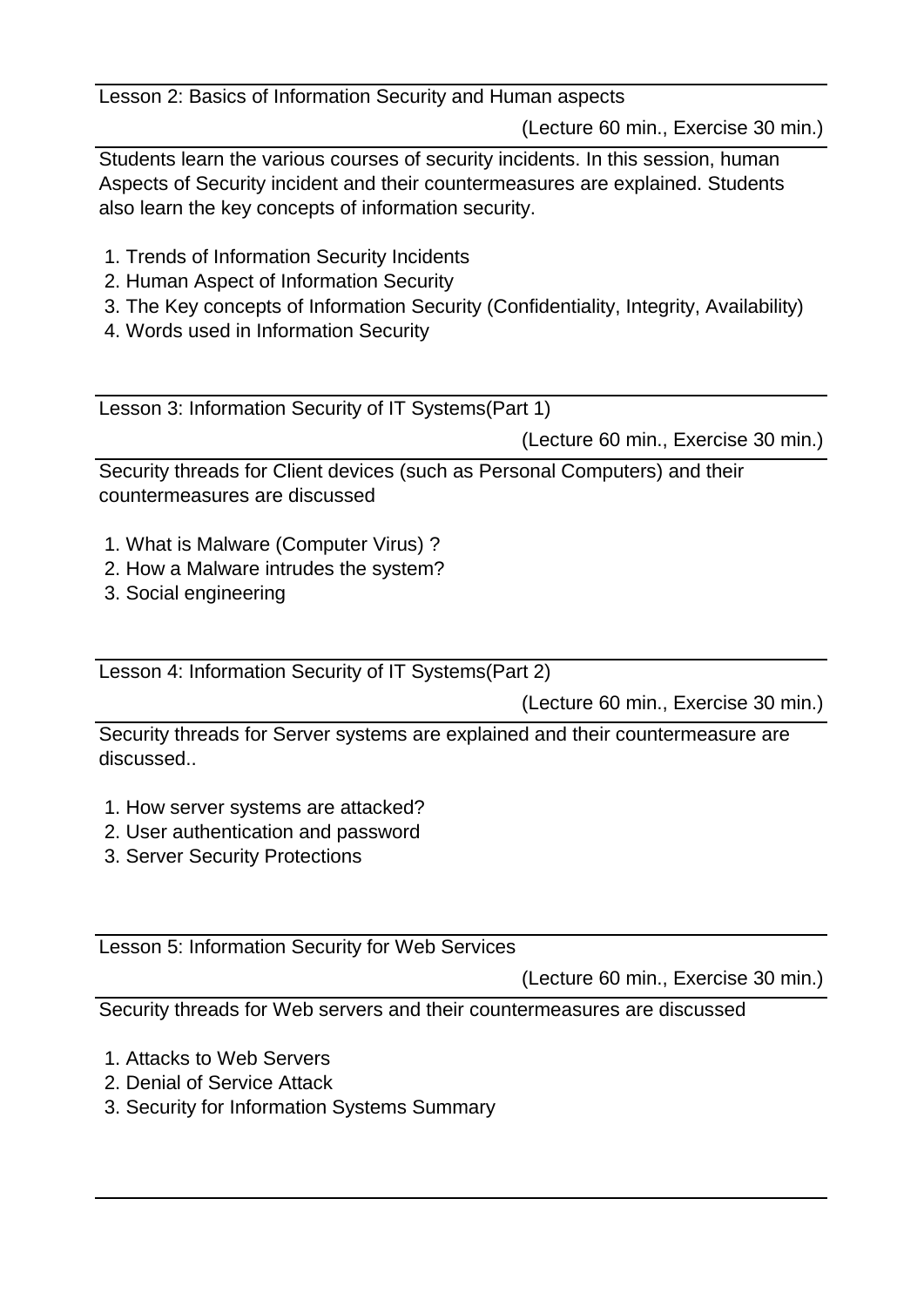Lesson 2: Basics of Information Security and Human aspects

(Lecture 60 min., Exercise 30 min.)

Students learn the various courses of security incidents. In this session, human Aspects of Security incident and their countermeasures are explained. Students also learn the key concepts of information security.

- 1. Trends of Information Security Incidents
- 2. Human Aspect of Information Security
- 3. The Key concepts of Information Security (Confidentiality, Integrity, Availability)
- 4. Words used in Information Security

Lesson 3: Information Security of IT Systems(Part 1)

(Lecture 60 min., Exercise 30 min.)

Security threads for Client devices (such as Personal Computers) and their countermeasures are discussed

- 1. What is Malware (Computer Virus) ?
- 2. How a Malware intrudes the system?
- 3. Social engineering

Lesson 4: Information Security of IT Systems(Part 2)

(Lecture 60 min., Exercise 30 min.)

Security threads for Server systems are explained and their countermeasure are discussed..

- 1. How server systems are attacked?
- 2. User authentication and password
- 3. Server Security Protections

Lesson 5: Information Security for Web Services

(Lecture 60 min., Exercise 30 min.)

Security threads for Web servers and their countermeasures are discussed

- 1. Attacks to Web Servers
- 2. Denial of Service Attack
- 3. Security for Information Systems Summary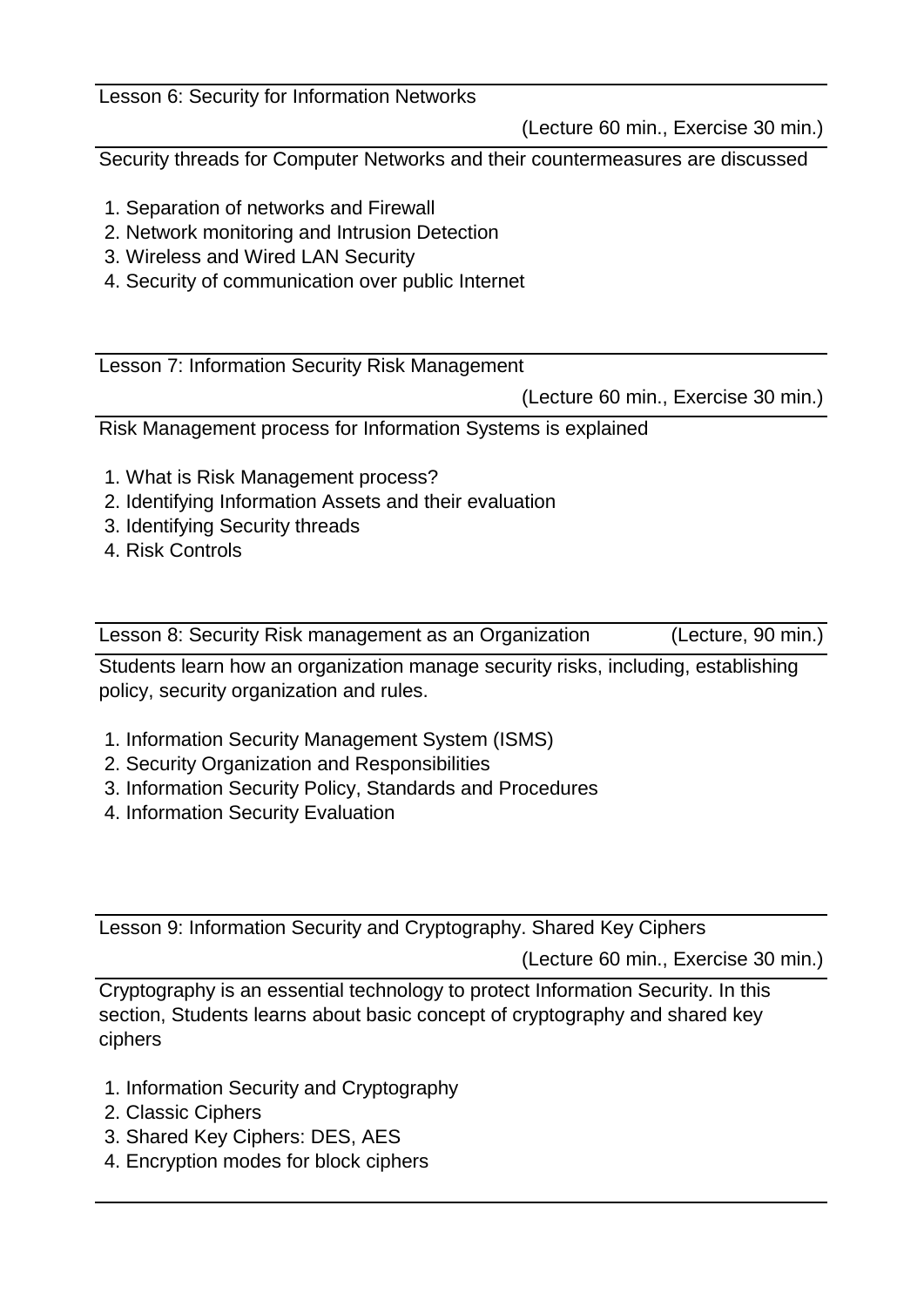Lesson 6: Security for Information Networks

(Lecture 60 min., Exercise 30 min.)

Security threads for Computer Networks and their countermeasures are discussed

- 1. Separation of networks and Firewall
- 2. Network monitoring and Intrusion Detection
- 3. Wireless and Wired LAN Security
- 4. Security of communication over public Internet

Lesson 7: Information Security Risk Management

(Lecture 60 min., Exercise 30 min.)

Risk Management process for Information Systems is explained

- 1. What is Risk Management process?
- 2. Identifying Information Assets and their evaluation
- 3. Identifying Security threads
- 4. Risk Controls

Lesson 8: Security Risk management as an Organization (Lecture, 90 min.)

Students learn how an organization manage security risks, including, establishing policy, security organization and rules.

- 1. Information Security Management System (ISMS)
- 2. Security Organization and Responsibilities
- 3. Information Security Policy, Standards and Procedures
- 4. Information Security Evaluation

Lesson 9: Information Security and Cryptography. Shared Key Ciphers

(Lecture 60 min., Exercise 30 min.)

Cryptography is an essential technology to protect Information Security. In this section, Students learns about basic concept of cryptography and shared key ciphers

- 1. Information Security and Cryptography
- 2. Classic Ciphers
- 3. Shared Key Ciphers: DES, AES
- 4. Encryption modes for block ciphers